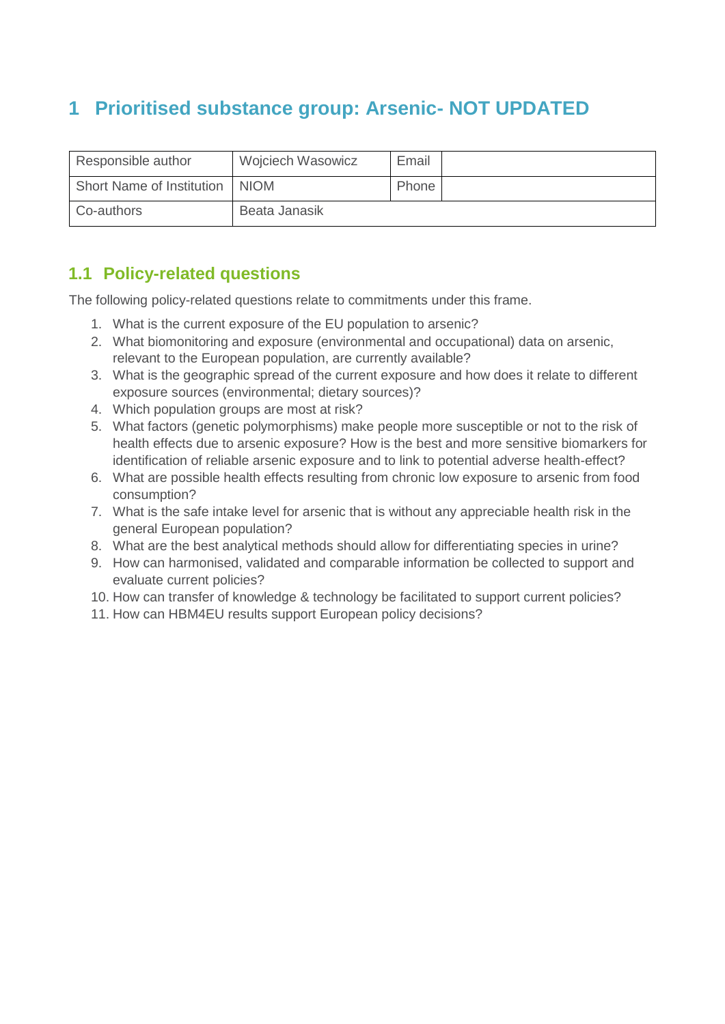## **1 Prioritised substance group: Arsenic- NOT UPDATED**

| Responsible author        | <b>Wojciech Wasowicz</b> | Email |  |
|---------------------------|--------------------------|-------|--|
| Short Name of Institution | <b>NIOM</b>              | Phone |  |
| Co-authors                | Beata Janasik            |       |  |

## **1.1 Policy-related questions**

The following policy-related questions relate to commitments under this frame.

- 1. What is the current exposure of the EU population to arsenic?
- 2. What biomonitoring and exposure (environmental and occupational) data on arsenic, relevant to the European population, are currently available?
- 3. What is the geographic spread of the current exposure and how does it relate to different exposure sources (environmental; dietary sources)?
- 4. Which population groups are most at risk?
- 5. What factors (genetic polymorphisms) make people more susceptible or not to the risk of health effects due to arsenic exposure? How is the best and more sensitive biomarkers for identification of reliable arsenic exposure and to link to potential adverse health-effect?
- 6. What are possible health effects resulting from chronic low exposure to arsenic from food consumption?
- 7. What is the safe intake level for arsenic that is without any appreciable health risk in the general European population?
- 8. What are the best analytical methods should allow for differentiating species in urine?
- 9. How can harmonised, validated and comparable information be collected to support and evaluate current policies?
- 10. How can transfer of knowledge & technology be facilitated to support current policies?
- 11. How can HBM4EU results support European policy decisions?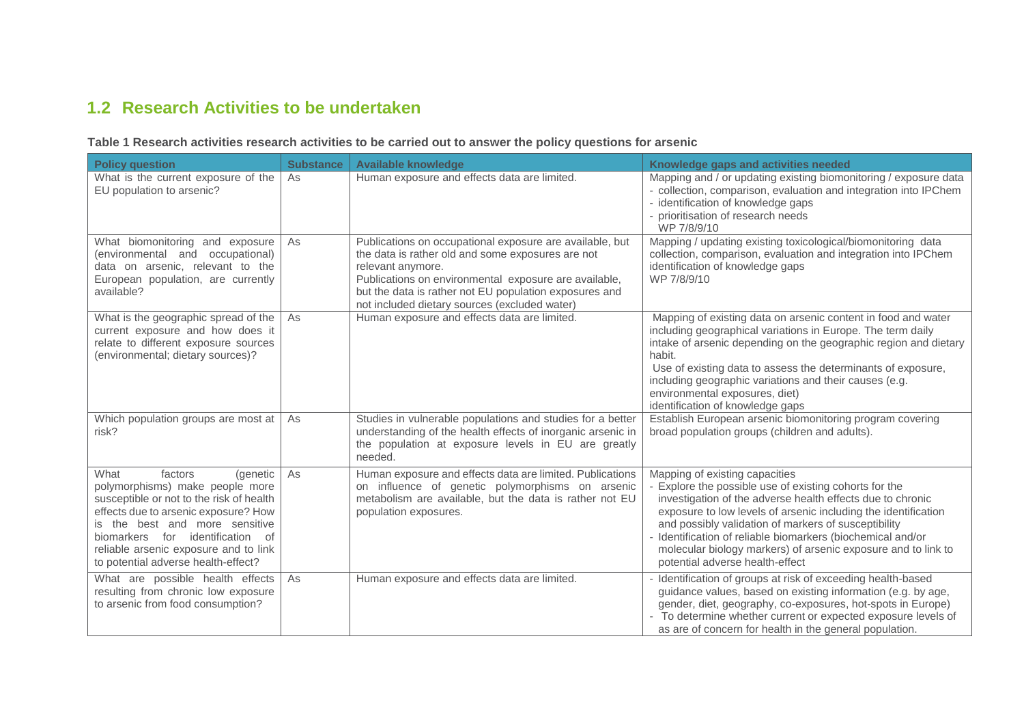## **1.2 Research Activities to be undertaken**

| <b>Policy question</b>                                                                                                                                                                                                                                                                                   | <b>Substance</b> | <b>Available knowledge</b>                                                                                                                                                                                                                                                                             | Knowledge gaps and activities needed                                                                                                                                                                                                                                                                                                                                                                                                              |
|----------------------------------------------------------------------------------------------------------------------------------------------------------------------------------------------------------------------------------------------------------------------------------------------------------|------------------|--------------------------------------------------------------------------------------------------------------------------------------------------------------------------------------------------------------------------------------------------------------------------------------------------------|---------------------------------------------------------------------------------------------------------------------------------------------------------------------------------------------------------------------------------------------------------------------------------------------------------------------------------------------------------------------------------------------------------------------------------------------------|
| What is the current exposure of the<br>EU population to arsenic?                                                                                                                                                                                                                                         | As               | Human exposure and effects data are limited.                                                                                                                                                                                                                                                           | Mapping and / or updating existing biomonitoring / exposure data<br>- collection, comparison, evaluation and integration into IPChem<br>- identification of knowledge gaps<br>- prioritisation of research needs<br>WP 7/8/9/10                                                                                                                                                                                                                   |
| What biomonitoring and exposure<br>(environmental and occupational)<br>data on arsenic, relevant to the<br>European population, are currently<br>available?                                                                                                                                              | As               | Publications on occupational exposure are available, but<br>the data is rather old and some exposures are not<br>relevant anymore.<br>Publications on environmental exposure are available,<br>but the data is rather not EU population exposures and<br>not included dietary sources (excluded water) | Mapping / updating existing toxicological/biomonitoring data<br>collection, comparison, evaluation and integration into IPChem<br>identification of knowledge gaps<br>WP 7/8/9/10                                                                                                                                                                                                                                                                 |
| What is the geographic spread of the<br>current exposure and how does it<br>relate to different exposure sources<br>(environmental; dietary sources)?                                                                                                                                                    | As               | Human exposure and effects data are limited.                                                                                                                                                                                                                                                           | Mapping of existing data on arsenic content in food and water<br>including geographical variations in Europe. The term daily<br>intake of arsenic depending on the geographic region and dietary<br>habit.<br>Use of existing data to assess the determinants of exposure,<br>including geographic variations and their causes (e.g.<br>environmental exposures, diet)<br>identification of knowledge gaps                                        |
| Which population groups are most at<br>risk?                                                                                                                                                                                                                                                             | As               | Studies in vulnerable populations and studies for a better<br>understanding of the health effects of inorganic arsenic in<br>the population at exposure levels in EU are greatly<br>needed.                                                                                                            | Establish European arsenic biomonitoring program covering<br>broad population groups (children and adults).                                                                                                                                                                                                                                                                                                                                       |
| What<br>factors<br>(genetic<br>polymorphisms) make people more<br>susceptible or not to the risk of health<br>effects due to arsenic exposure? How<br>is the best and more sensitive<br>biomarkers for identification of<br>reliable arsenic exposure and to link<br>to potential adverse health-effect? | As               | Human exposure and effects data are limited. Publications<br>on influence of genetic polymorphisms on arsenic<br>metabolism are available, but the data is rather not EU<br>population exposures.                                                                                                      | Mapping of existing capacities<br>Explore the possible use of existing cohorts for the<br>investigation of the adverse health effects due to chronic<br>exposure to low levels of arsenic including the identification<br>and possibly validation of markers of susceptibility<br>- Identification of reliable biomarkers (biochemical and/or<br>molecular biology markers) of arsenic exposure and to link to<br>potential adverse health-effect |
| What are possible health effects<br>resulting from chronic low exposure<br>to arsenic from food consumption?                                                                                                                                                                                             | As               | Human exposure and effects data are limited.                                                                                                                                                                                                                                                           | Identification of groups at risk of exceeding health-based<br>guidance values, based on existing information (e.g. by age,<br>gender, diet, geography, co-exposures, hot-spots in Europe)<br>- To determine whether current or expected exposure levels of<br>as are of concern for health in the general population.                                                                                                                             |

**Table 1 Research activities research activities to be carried out to answer the policy questions for arsenic**